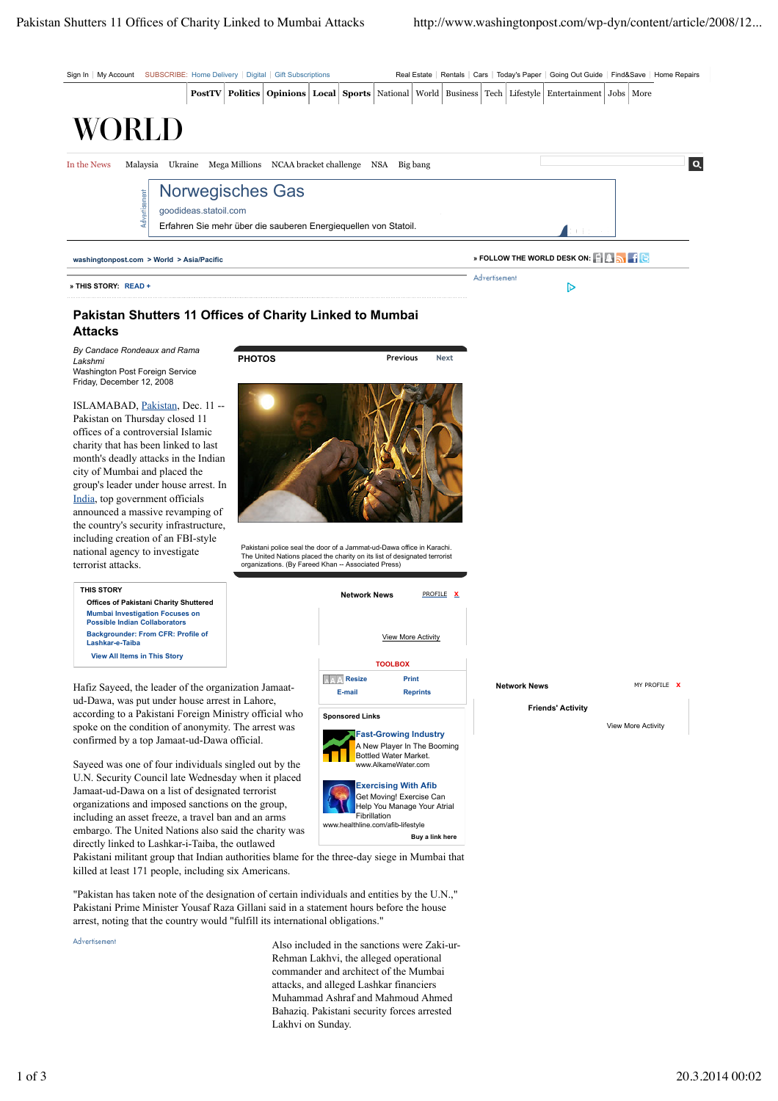| Sign In   My Account                      |               |                                                                 |                       |  | SUBSCRIBE: Home Delivery   Digital   Gift Subscriptions            |  |  |  |  |                                       |               |  | Real Estate   Rentals   Cars   Today's Paper   Going Out Guide   Find&Save   Home Repairs                                           |  |  |          |
|-------------------------------------------|---------------|-----------------------------------------------------------------|-----------------------|--|--------------------------------------------------------------------|--|--|--|--|---------------------------------------|---------------|--|-------------------------------------------------------------------------------------------------------------------------------------|--|--|----------|
|                                           |               |                                                                 |                       |  |                                                                    |  |  |  |  |                                       |               |  | <b>PostTV   Politics   Opinions   Local   Sports   National   World   Business   Tech   Lifestyle   Entertainment   Jobs   More</b> |  |  |          |
| WORLD                                     |               |                                                                 |                       |  |                                                                    |  |  |  |  |                                       |               |  |                                                                                                                                     |  |  |          |
| In the News                               |               |                                                                 |                       |  | Malaysia Ukraine Mega Millions NCAA bracket challenge NSA Big bang |  |  |  |  |                                       |               |  |                                                                                                                                     |  |  | $\alpha$ |
|                                           | Advertisement |                                                                 | qoodideas.statoil.com |  | <b>Norwegisches Gas</b>                                            |  |  |  |  |                                       |               |  |                                                                                                                                     |  |  |          |
|                                           |               | Erfahren Sie mehr über die sauberen Energieguellen von Statoil. |                       |  |                                                                    |  |  |  |  |                                       | 4dChaisea D   |  |                                                                                                                                     |  |  |          |
| washingtonpost.com > World > Asia/Pacific |               |                                                                 |                       |  |                                                                    |  |  |  |  | > FOLLOW THE WORLD DESK ON: E A REFER |               |  |                                                                                                                                     |  |  |          |
| » THIS STORY: READ +                      |               |                                                                 |                       |  |                                                                    |  |  |  |  |                                       | Advertisement |  | D                                                                                                                                   |  |  |          |

## **Pakistan Shutters 11 Offices of Charity Linked to Mumbai Attacks**

*By Candace Rondeaux and Rama Lakshmi* Washington Post Foreign Service Friday, December 12, 2008

ISLAMABAD, Pakistan, Dec. 11 -- Pakistan on Thursday closed 11 offices of a controversial Islamic charity that has been linked to last month's deadly attacks in the Indian city of Mumbai and placed the group's leader under house arrest. In India, top government officials announced a massive revamping of the country's security infrastructure, including creation of an FBI-style national agency to investigate terrorist attacks.



Pakistani police seal the door of a Jammat-ud-Dawa office in Karachi. The United Nations placed the charity on its list of designated terrorist<br>organizations. (By Fareed Khan -- Associated Press)

**Sponsored Links**

View More Activity

**TOOLBOX**

**Fast-Growing Industry** A New Player In The Booming Bottled Water Market. www.AlkameWater.com **Exercising With Afib** Get Moving! Exercise Can Help You Manage Your Atrial

 **Buy a link here** 



Hafiz Sayeed, the leader of the organization Jamaatud-Dawa, was put under house arrest in Lahore, according to a Pakistani Foreign Ministry official who spoke on the condition of anonymity. The arrest was confirmed by a top Jamaat-ud-Dawa official.

Sayeed was one of four individuals singled out by the U.N. Security Council late Wednesday when it placed Jamaat-ud-Dawa on a list of designated terrorist organizations and imposed sanctions on the group, including an asset freeze, a travel ban and an arms embargo. The United Nations also said the charity was directly linked to Lashkar-i-Taiba, the outlawed

Pakistani militant group that Indian authorities blame for the three-day siege in Mumbai that killed at least 171 people, including six Americans.

"Pakistan has taken note of the designation of certain individuals and entities by the U.N.," Pakistani Prime Minister Yousaf Raza Gillani said in a statement hours before the house arrest, noting that the country would "fulfill its international obligations."

Advertisement

Also included in the sanctions were Zaki-ur-Rehman Lakhvi, the alleged operational commander and architect of the Mumbai attacks, and alleged Lashkar financiers Muhammad Ashraf and Mahmoud Ahmed Bahaziq. Pakistani security forces arrested Lakhvi on Sunday.

**Fibrillation** www.healthline.com/afib-lifestyle



**Friends' Activity**

View More Activity